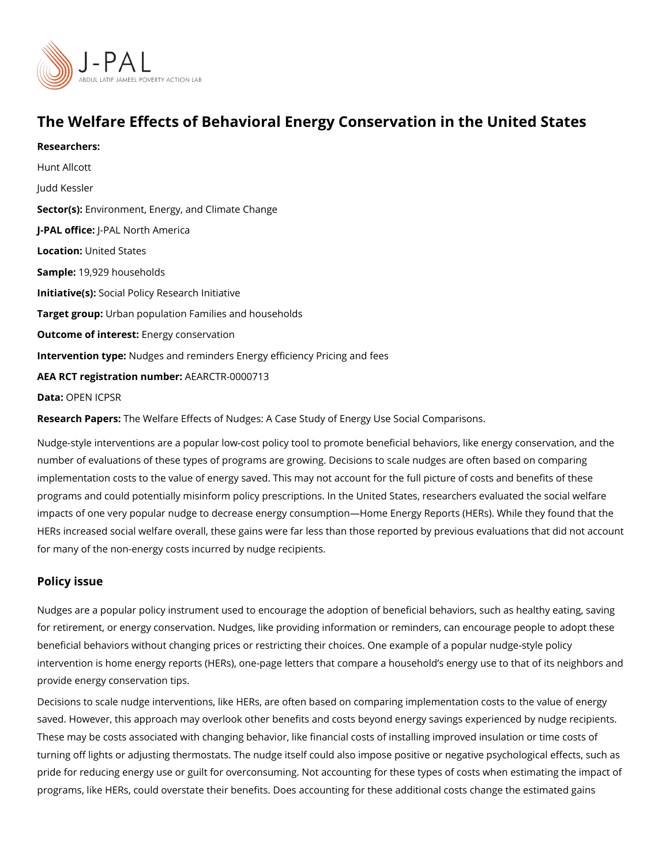# The Welfare Effects of Behavioral Energy Conservation in th

Researchers: [Hunt All](https://www.povertyactionlab.org/person/allcott)cott [Judd Ke](https://www.povertyactionlab.org/person/kessler)ssler Sector(En) vironment, Energy, and Climate Change J-PAL oftlicReAL North America Locatiobnited States Sample: 9,929 households Initiative\$social Policy Research Initiative Target groupban population Families and households Outcome of interestry conservation Intervention t Manelges and reminders Energy efficiency Pricing and fees AEA RCT registration ArEuAnRbCeTR-0000713 Data[OPEN IC](https://www.openicpsr.org/openicpsr/project/113728/version/V1/view)PSR

Research PapbesWelfare Effects of Nudges: A Case Study of Energy Use Social Compariso

Nudge-style interventions are a popular low-cost policy tool to promote beneficial behaviors, number of evaluations of these types of programs are growing. Decisions to scale nudges implementation costs to the value of energy saved. This may not account for the full pictu programs and could potentially misinform policy prescriptions. In the United States, resea impacts of one very popular nudge to decrease energy consumption Home Energy Reports HERs increased social welfare overall, these gains were far less than those reported by p for many of the non-energy costs incurred by nudge recipients.

#### Policy issue

Nudges are a popular policy instrument used to encourage the adoption of beneficial beha for retirement, or energy conservation. Nudges, like providing information or reminders, c beneficial behaviors without changing prices or restricting their choices. One example of intervention is home energy reports (HERs), one-page letters that compare a household s provide energy conservation tips.

Decisions to scale nudge interventions, like HERs, are often based on comparing impleme saved. However, this approach may overlook other benefits and costs beyond energy savin These may be costs associated with changing behavior, like financial costs of installing i turning off lights or adjusting thermostats. The nudge itself could also impose positive or pride for reducing energy use or guilt for overconsuming. Not accounting for these types programs, like HERs, could overstate their benefits. Does accounting for these additional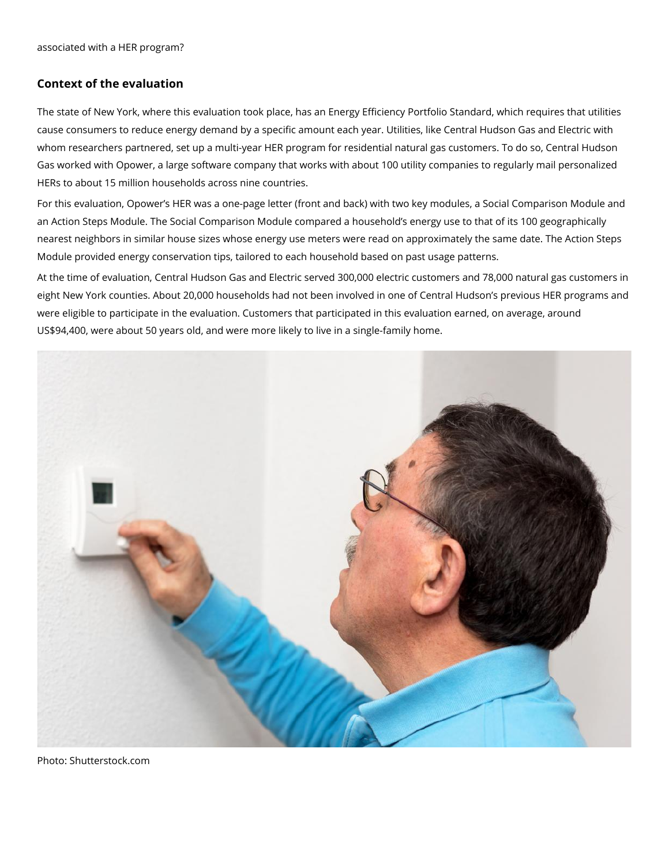## **Context of the evaluation**

The state of New York, where this evaluation took place, has an Energy Efficiency Portfolio Standard, which requires that utilities cause consumers to reduce energy demand by a specific amount each year. Utilities, like Central Hudson Gas and Electric with whom researchers partnered, set up a multi-year HER program for residential natural gas customers. To do so, Central Hudson Gas worked with Opower, a large software company that works with about 100 utility companies to regularly mail personalized HERs to about 15 million households across nine countries.

For this evaluation, Opower's HER was a one-page letter (front and back) with two key modules, a Social Comparison Module and an Action Steps Module. The Social Comparison Module compared a household's energy use to that of its 100 geographically nearest neighbors in similar house sizes whose energy use meters were read on approximately the same date. The Action Steps Module provided energy conservation tips, tailored to each household based on past usage patterns.

At the time of evaluation, Central Hudson Gas and Electric served 300,000 electric customers and 78,000 natural gas customers in eight New York counties. About 20,000 households had not been involved in one of Central Hudson's previous HER programs and were eligible to participate in the evaluation. Customers that participated in this evaluation earned, on average, around US\$94,400, were about 50 years old, and were more likely to live in a single-family home.



Photo: Shutterstock.com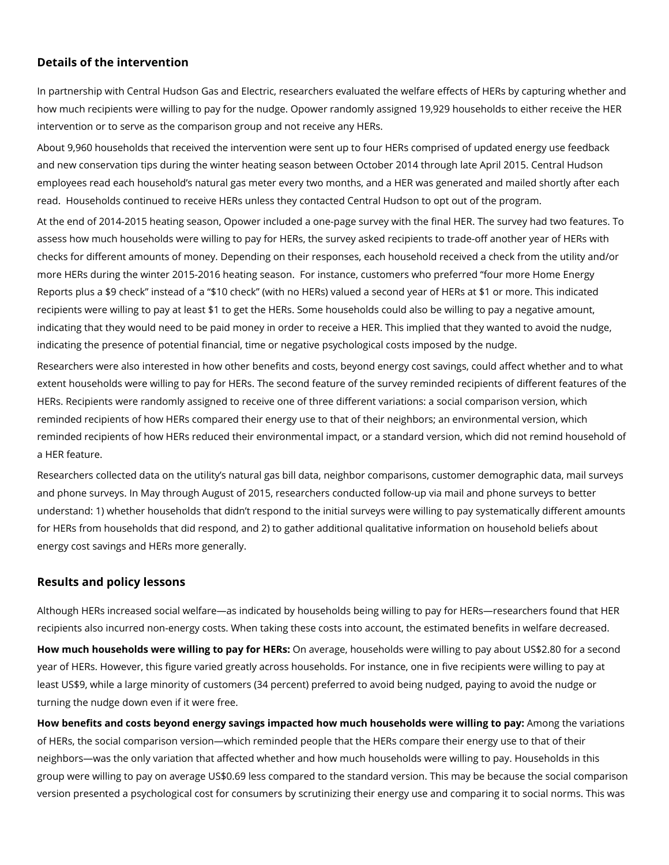## **Details of the intervention**

In partnership with Central Hudson Gas and Electric, researchers evaluated the welfare effects of HERs by capturing whether and how much recipients were willing to pay for the nudge. Opower randomly assigned 19,929 households to either receive the HER intervention or to serve as the comparison group and not receive any HERs.

About 9,960 households that received the intervention were sent up to four HERs comprised of updated energy use feedback and new conservation tips during the winter heating season between October 2014 through late April 2015. Central Hudson employees read each household's natural gas meter every two months, and a HER was generated and mailed shortly after each read. Households continued to receive HERs unless they contacted Central Hudson to opt out of the program.

At the end of 2014-2015 heating season, Opower included a one-page survey with the final HER. The survey had two features. To assess how much households were willing to pay for HERs, the survey asked recipients to trade-off another year of HERs with checks for different amounts of money. Depending on their responses, each household received a check from the utility and/or more HERs during the winter 2015-2016 heating season. For instance, customers who preferred "four more Home Energy Reports plus a \$9 check" instead of a "\$10 check" (with no HERs) valued a second year of HERs at \$1 or more. This indicated recipients were willing to pay at least \$1 to get the HERs. Some households could also be willing to pay a negative amount, indicating that they would need to be paid money in order to receive a HER. This implied that they wanted to avoid the nudge, indicating the presence of potential financial, time or negative psychological costs imposed by the nudge.

Researchers were also interested in how other benefits and costs, beyond energy cost savings, could affect whether and to what extent households were willing to pay for HERs. The second feature of the survey reminded recipients of different features of the HERs. Recipients were randomly assigned to receive one of three different variations: a social comparison version, which reminded recipients of how HERs compared their energy use to that of their neighbors; an environmental version, which reminded recipients of how HERs reduced their environmental impact, or a standard version, which did not remind household of a HER feature.

Researchers collected data on the utility's natural gas bill data, neighbor comparisons, customer demographic data, mail surveys and phone surveys. In May through August of 2015, researchers conducted follow-up via mail and phone surveys to better understand: 1) whether households that didn't respond to the initial surveys were willing to pay systematically different amounts for HERs from households that did respond, and 2) to gather additional qualitative information on household beliefs about energy cost savings and HERs more generally.

# **Results and policy lessons**

Although HERs increased social welfare—as indicated by households being willing to pay for HERs—researchers found that HER recipients also incurred non-energy costs. When taking these costs into account, the estimated benefits in welfare decreased.

**How much households were willing to pay for HERs:** On average, households were willing to pay about US\$2.80 for a second year of HERs. However, this figure varied greatly across households. For instance, one in five recipients were willing to pay at least US\$9, while a large minority of customers (34 percent) preferred to avoid being nudged, paying to avoid the nudge or turning the nudge down even if it were free.

**How benefits and costs beyond energy savings impacted how much households were willing to pay:** Among the variations of HERs, the social comparison version—which reminded people that the HERs compare their energy use to that of their neighbors—was the only variation that affected whether and how much households were willing to pay. Households in this group were willing to pay on average US\$0.69 less compared to the standard version. This may be because the social comparison version presented a psychological cost for consumers by scrutinizing their energy use and comparing it to social norms. This was